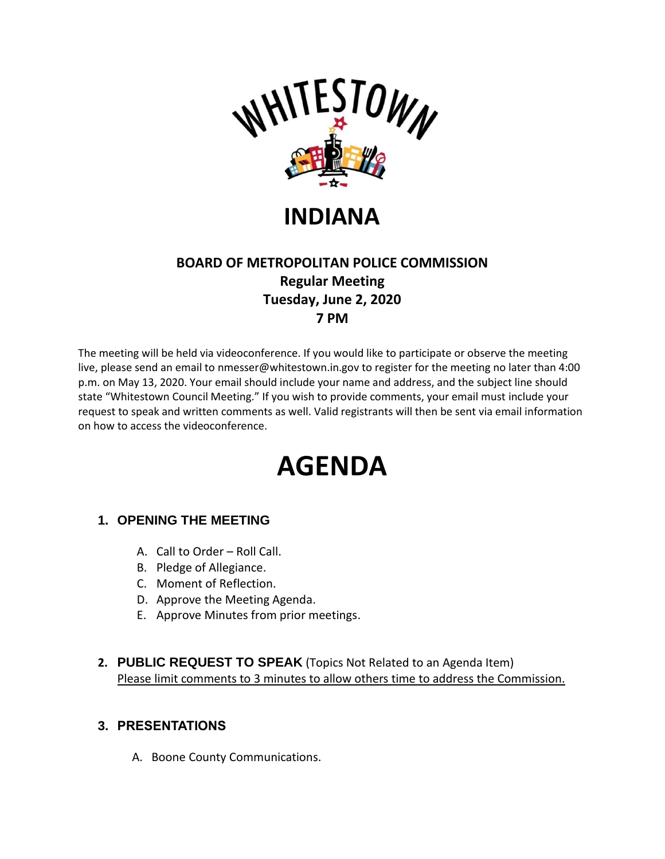

**INDIANA**

## **BOARD OF METROPOLITAN POLICE COMMISSION Regular Meeting Tuesday, June 2, 2020 7 PM**

The meeting will be held via videoconference. If you would like to participate or observe the meeting live, please send an email to nmesser@whitestown.in.gov to register for the meeting no later than 4:00 p.m. on May 13, 2020. Your email should include your name and address, and the subject line should state "Whitestown Council Meeting." If you wish to provide comments, your email must include your request to speak and written comments as well. Valid registrants will then be sent via email information on how to access the videoconference.

# **AGENDA**

## **1. OPENING THE MEETING**

- A. Call to Order Roll Call.
- B. Pledge of Allegiance.
- C. Moment of Reflection.
- D. Approve the Meeting Agenda.
- E. Approve Minutes from prior meetings.
- **2. PUBLIC REQUEST TO SPEAK** (Topics Not Related to an Agenda Item) Please limit comments to 3 minutes to allow others time to address the Commission.

#### **3. PRESENTATIONS**

A. Boone County Communications.